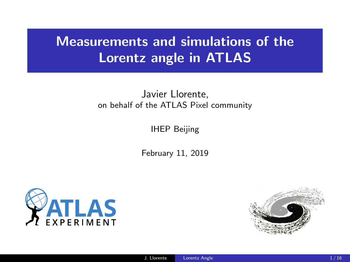# Measurements and simulations of the Lorentz angle in ATLAS

#### Javier Llorente, on behalf of the ATLAS Pixel community

IHEP Beijing

February 11, 2019



<span id="page-0-0"></span>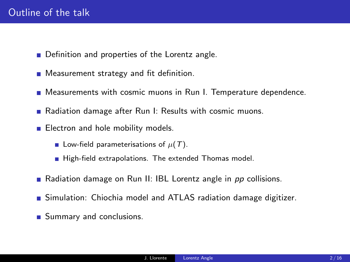- Definition and properties of the Lorentz angle.
- **Measurement strategy and fit definition.**
- **Measurements with cosmic muons in Run I. Temperature dependence.**
- Radiation damage after Run I: Results with cosmic muons.
- **Electron and hole mobility models.** 
	- Low-field parameterisations of  $\mu(T)$ .
	- High-field extrapolations. The extended Thomas model.
- Radiation damage on Run II: IBL Lorentz angle in pp collisions.
- Simulation: Chiochia model and ATLAS radiation damage digitizer.
- **Summary and conclusions.**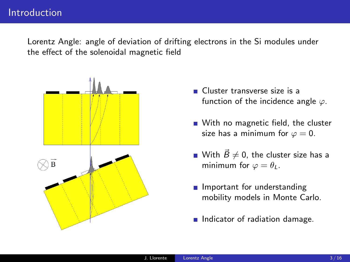Lorentz Angle: angle of deviation of drifting electrons in the Si modules under the effect of the solenoidal magnetic field



- Cluster transverse size is a function of the incidence angle  $\varphi$ .
- With no magnetic field, the cluster size has a minimum for  $\varphi = 0$ .
- With  $\vec{B}\neq 0$ , the cluster size has a minimum for  $\varphi = \theta_L$ .
- **Important for understanding** mobility models in Monte Carlo.
- Indicator of radiation damage.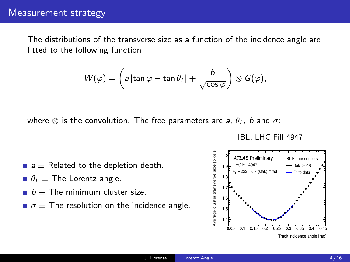The distributions of the transverse size as a function of the incidence angle are fitted to the following function

$$
W(\varphi)=\left(a\left|\tan\varphi-\tan\theta_L\right|+\frac{b}{\sqrt{\cos\varphi}}\right)\otimes G(\varphi),
$$

where  $\otimes$  is the convolution. The free parameters are a,  $\theta_L$ , b and  $\sigma$ :

IBL, LHC Fill 4947

- $a \equiv$  Related to the depletion depth.
- $\theta_L \equiv$  The Lorentz angle.
- $b =$ The minimum cluster size.
- $\sigma \equiv$  The resolution on the incidence angle.

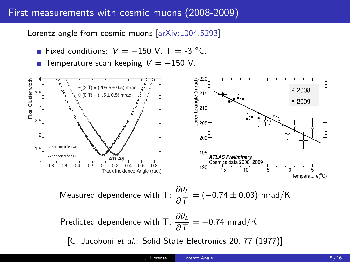# First measurements with cosmic muons (2008-2009)

Lorentz angle from cosmic muons [\[arXiv:1004.5293\]](https://arxiv.org/abs/1004.5293)

- **Fixed conditions:**  $V = -150$  V, T = -3 °C.
- Temperature scan keeping  $V = -150$  V.

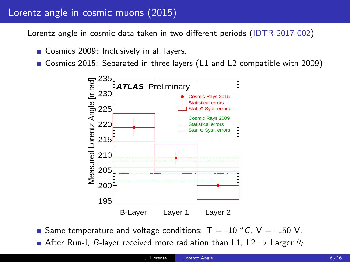# Lorentz angle in cosmic muons (2015)

Lorentz angle in cosmic data taken in two different periods [\(IDTR-2017-002\)](https://atlas.web.cern.ch/Atlas/GROUPS/PHYSICS/PLOTS/IDTR-2017-002/)

Cosmics 2009: Inclusively in all layers.

Gosmics 2015: Separated in three layers (L1 and L2 compatible with 2009)



Same temperature and voltage conditions:  $T = -10 °C$ ,  $V = -150 V$ . After Run-I, B-layer received more radiation than L1, L2  $\Rightarrow$  Larger  $\theta_L$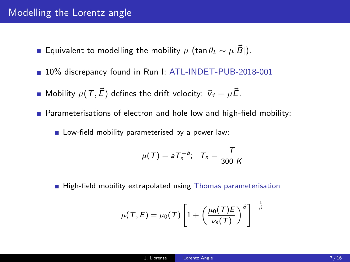#### Modelling the Lorentz angle

- **■** Equivalent to modelling the mobility  $\mu$  (tan  $\theta_L \sim \mu |\vec{B}|$ ).
- 10% discrepancy found in Run I: [ATL-INDET-PUB-2018-001](https://cds.cern.ch/record/2629889?ln=es)
- **Mobility**  $\mu(T, \vec{E})$  defines the drift velocity:  $\vec{v}_d = \mu \vec{E}$ .
- **Parameterisations of electron and hole low and high-field mobility:** 
	- **Low-field mobility parameterised by a power law:**

$$
\mu(\mathcal{T}) = aT_n^{-b}; \quad T_n = \frac{\mathcal{T}}{300 \text{ K}}
$$

High-field mobility extrapolated using [Thomas parameterisation](https://ieeexplore.ieee.org/document/1448053)

$$
\mu(\mathcal{T},E) = \mu_0(\mathcal{T}) \left[ 1 + \left( \frac{\mu_0(\mathcal{T})E}{\nu_s(\mathcal{T})} \right)^{\beta} \right]^{-\frac{1}{\beta}}
$$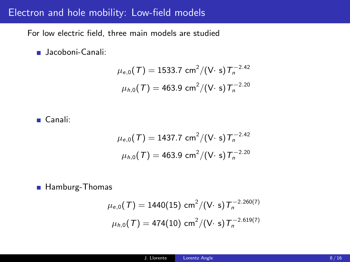### Electron and hole mobility: Low-field models

For low electric field, three main models are studied

**Jacoboni-Canali:** 

$$
\mu_{e,0}(\mathcal{T}) = 1533.7 \text{ cm}^2 / (\text{V} \cdot \text{s}) \mathcal{T}_n^{-2.42}
$$

$$
\mu_{h,0}(\mathcal{T}) = 463.9 \text{ cm}^2 / (\text{V} \cdot \text{s}) \mathcal{T}_n^{-2.20}
$$

Canali:

$$
\mu_{e,0}(T) = 1437.7 \text{ cm}^2 / (\text{V} \cdot \text{s}) T_n^{-2.42}
$$

$$
\mu_{h,0}(T) = 463.9 \text{ cm}^2 / (\text{V} \cdot \text{s}) T_n^{-2.20}
$$

Hamburg-Thomas

$$
\mu_{e,0}(\mathcal{T}) = 1440(15) \text{ cm}^2 / (\text{V} \cdot \text{s}) \mathcal{T}_n^{-2.260(7)}
$$

$$
\mu_{h,0}(\mathcal{T}) = 474(10) \text{ cm}^2 / (\text{V} \cdot \text{s}) \mathcal{T}_n^{-2.619(7)}
$$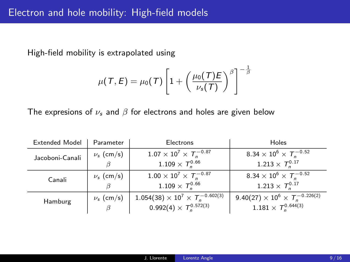High-field mobility is extrapolated using

$$
\mu(\mathcal{T},E) = \mu_0(\mathcal{T}) \left[ 1 + \left( \frac{\mu_0(\mathcal{T})E}{\nu_s(\mathcal{T})} \right)^{\beta} \right]^{-\frac{1}{\beta}}
$$

The expresions of  $\nu_s$  and  $\beta$  for electrons and holes are given below

| <b>Extended Model</b> | Parameter      | Electrons                                      | Holes                                                          |
|-----------------------|----------------|------------------------------------------------|----------------------------------------------------------------|
| Jacoboni-Canali       | $\nu_s$ (cm/s) | $1.07 \times 10^7 \times T_p^{-0.87}$          | 8.34 $\times$ 10 <sup>6</sup> $\times$ $\mathcal{T}_n^{-0.52}$ |
|                       |                | $1.109 \times T^{0.66}_{n}$                    | $1.213 \times T_n^{0.17}$                                      |
| Canali                | $\nu_s$ (cm/s) | $1.00 \times 10^7 \times T_n^{-0.87}$          | 8.34 $\times$ 10 <sup>6</sup> $\times$ $T_n^{-0.52}$           |
|                       |                | $1.109\times\,T_{\rm s}^{0.66}$                | $1.213 \times T^{0.17}$                                        |
| Hamburg               | $\nu_s$ (cm/s) | $1.054(38) \times 10^7 \times T_n^{-0.602(3)}$ | $9.40(27) \times 10^6 \times T_n^{-0.226(2)}$                  |
|                       | B              | $0.992(4) \times T^{0.572(3)}$                 | $1.181 \times T^{0.644(3)}_{n}$                                |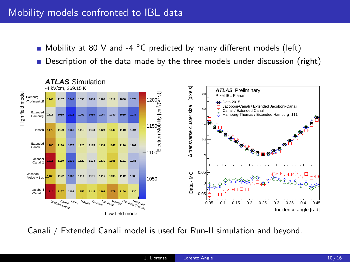## Mobility models confronted to IBL data

- $\blacksquare$  Mobility at 80 V and -4 °C predicted by many different models (left)
- **Description of the data made by the three models under discussion (right)**



Canali / Extended Canali model is used for Run-II simulation and beyond.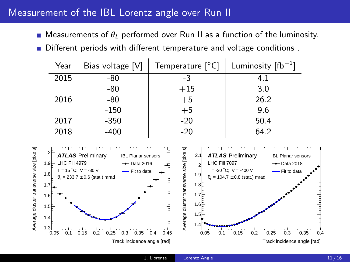#### Measurement of the IBL Lorentz angle over Run II

**Measurements of**  $\theta_L$  **performed over Run II as a function of the luminosity.** 

Different periods with different temperature and voltage conditions.

| Year | Bias voltage [V] | Temperature [°C] | Luminosity $[fb^{-1}]$ |
|------|------------------|------------------|------------------------|
| 2015 | -80              | -3               | 4.1                    |
|      | -80              | $+15$            | 3.0                    |
| 2016 | $-80$            | $+5$             | 26.2                   |
|      | $-150$           | $+5$             | 9.6                    |
| 2017 | $-350$           | $-20$            | 50.4                   |
| 2018 | $-400$           | $-20$            | 64.2                   |

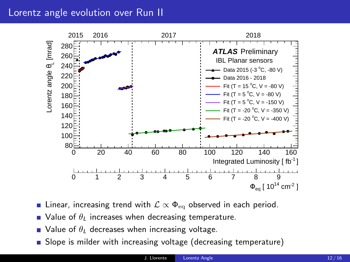### Lorentz angle evolution over Run II



- **■** Linear, increasing trend with  $\mathcal{L} \propto \Phi_{\text{eq}}$  observed in each period.
- $\blacksquare$  Value of  $\theta_L$  increases when decreasing temperature.
- $\blacksquare$  Value of  $\theta_L$  decreases when increasing voltage.
- Slope is milder with increasing voltage (decreasing temperature)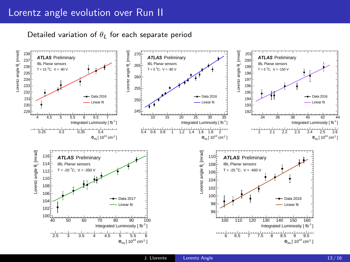Detailed variation of  $\theta_L$  for each separate period

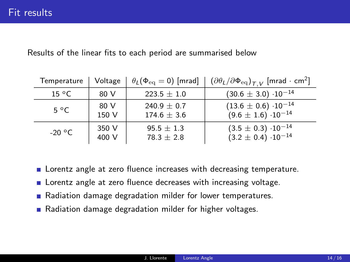Results of the linear fits to each period are summarised below

| Temperature    | Voltage | $\theta_L(\Phi_{\text{eq}}=0)$ [mrad] | $\left[ (\partial \theta_L / \partial \Phi_{\text{eq}})_{T,V} \right]$ [mrad $\cdot$ cm <sup>2</sup> ] |
|----------------|---------|---------------------------------------|--------------------------------------------------------------------------------------------------------|
| $15^{\circ}$ C | 80 V    | $223.5 \pm 1.0$                       | $(30.6 \pm 3.0) \cdot 10^{-14}$                                                                        |
| $5^{\circ}$ C  | 80 V    | $240.9 \pm 0.7$                       | $(13.6 \pm 0.6) \cdot 10^{-14}$                                                                        |
|                | 150 V   | $174.6 \pm 3.6$                       | $(9.6 \pm 1.6) \cdot 10^{-14}$                                                                         |
| -20 °C         | 350 V   | $95.5 \pm 1.3$                        | $(3.5 \pm 0.3) \cdot 10^{-14}$                                                                         |
|                | 400 V   | $78.3 \pm 2.8$                        | $(3.2 \pm 0.4) \cdot 10^{-14}$                                                                         |

- **EXEC** Lorentz angle at zero fluence increases with decreasing temperature.
- **EXEC** Lorentz angle at zero fluence decreases with increasing voltage.
- Radiation damage degradation milder for lower temperatures.
- Radiation damage degradation milder for higher voltages.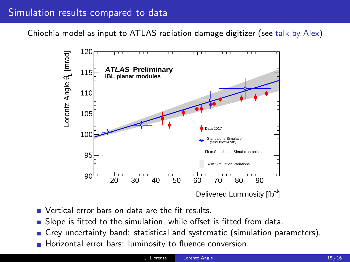## Simulation results compared to data

Chiochia model as input to ATLAS radiation damage digitizer (see [talk by Alex\)](https://indico.cern.ch/event/769192/contributions/3302046/)



- Vertical error hars on data are the fit results.
- Slope is fitted to the simulation, while offset is fitted from data.
- Grey uncertainty band: statistical and systematic (simulation parameters).
- Horizontal error bars: luminosity to fluence conversion.